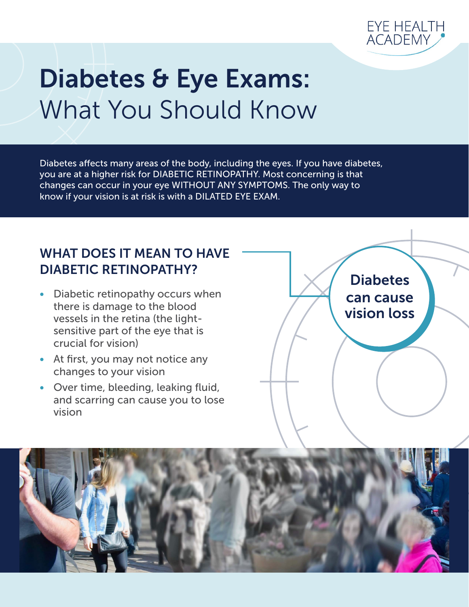

# Diabetes & Eye Exams: What You Should Know

Diabetes affects many areas of the body, including the eyes. If you have diabetes, you are at a higher risk for DIABETIC RETINOPATHY. Most concerning is that changes can occur in your eye WITHOUT ANY SYMPTOMS. The only way to know if your vision is at risk is with a DILATED EYE EXAM.

#### WHAT DOES IT MEAN TO HAVE DIABETIC RETINOPATHY?

- Diabetic retinopathy occurs when there is damage to the blood vessels in the retina (the lightsensitive part of the eye that is crucial for vision)
- At first, you may not notice any changes to your vision
- Over time, bleeding, leaking fluid, and scarring can cause you to lose vision

**Diabetes** can cause vision loss

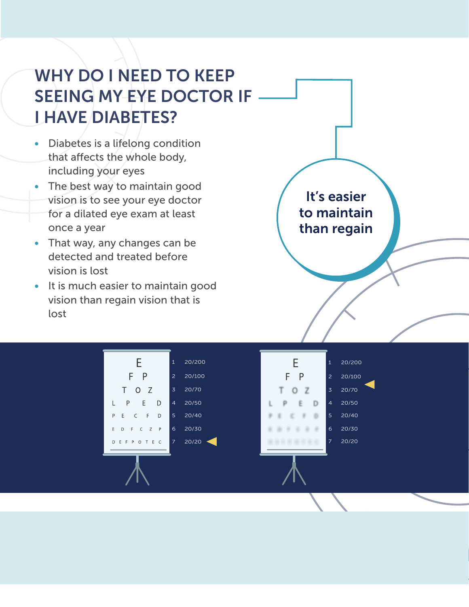### WHY DO I NEED TO KEEP SEEING MY EYE DOCTOR IF I HAVE DIABETES?

- Diabetes is a lifelong condition that affects the whole body, including your eyes
- The best way to maintain good vision is to see your eye doctor for a dilated eye exam at least once a year
- That way, any changes can be detected and treated before vision is lost
- It is much easier to maintain good vision than regain vision that is lost

| F                          | $\mathbf{1}$   | 20/200                  | F              | 1              | 20/200 |
|----------------------------|----------------|-------------------------|----------------|----------------|--------|
| F<br>P                     | $\overline{2}$ | 20/100                  | F<br>Ρ         | $\overline{2}$ | 20/100 |
| T.<br>Z<br>$\circ$         | $\overline{3}$ | 20/70                   | z<br>O<br>г    | $\overline{3}$ | 20/70  |
| P<br>D<br>E.               | $\overline{4}$ | 20/50                   | $\blacksquare$ | $\overline{4}$ | 20/50  |
| P<br>E<br>D<br>F<br>C      | 5 <sup>5</sup> | 20/40                   |                | 5 <sup>5</sup> | 20/40  |
| E<br>P<br>Z<br>D<br>C<br>F | 6              | 20/30                   |                | 6              | 20/30  |
| E C<br>D E<br>F P O<br>T   | $\overline{7}$ | $20/20$ $\triangleleft$ |                | $\overline{7}$ | 20/20  |
|                            |                |                         |                |                |        |
|                            |                |                         |                |                |        |

It's easier

to maintain

than regain